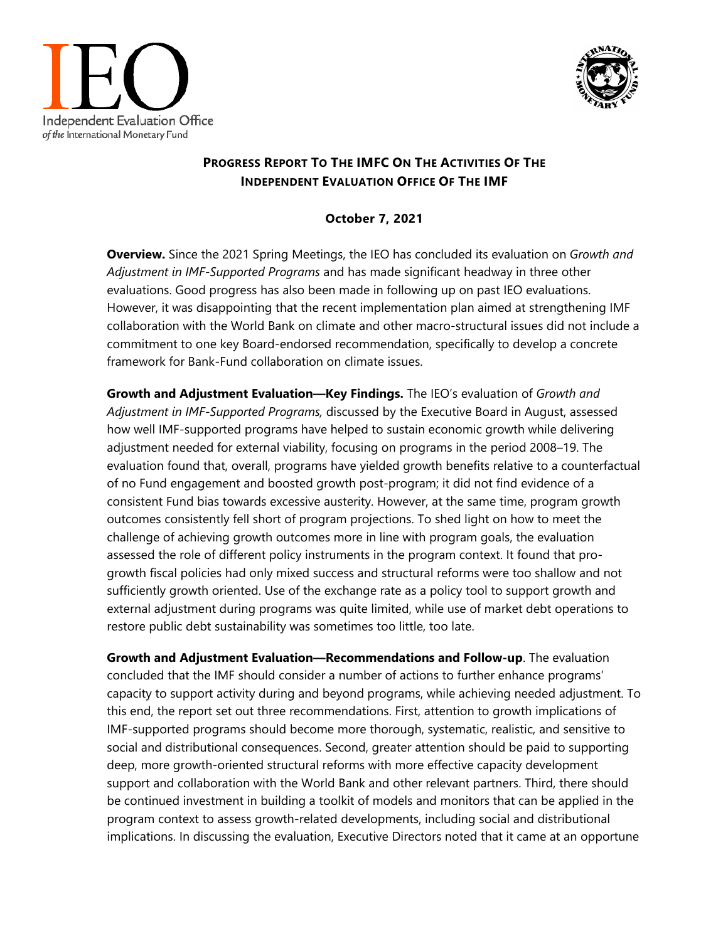



## **PROGRESS REPORT TO THE IMFC ON THE ACTIVITIES OF THE INDEPENDENT EVALUATION OFFICE OF THE IMF**

## **October 7, 2021**

**Overview.** Since the 2021 Spring Meetings, the IEO has concluded its evaluation on *Growth and Adjustment in IMF-Supported Programs* and has made significant headway in three other evaluations. Good progress has also been made in following up on past IEO evaluations. However, it was disappointing that the recent implementation plan aimed at strengthening IMF collaboration with the World Bank on climate and other macro-structural issues did not include a commitment to one key Board-endorsed recommendation, specifically to develop a concrete framework for Bank-Fund collaboration on climate issues.

**Growth and Adjustment Evaluation—Key Findings.** The IEO's evaluation of *Growth and Adjustment in IMF-Supported Programs,* discussed by the Executive Board in August, assessed how well IMF-supported programs have helped to sustain economic growth while delivering adjustment needed for external viability, focusing on programs in the period 2008–19. The evaluation found that, overall, programs have yielded growth benefits relative to a counterfactual of no Fund engagement and boosted growth post-program; it did not find evidence of a consistent Fund bias towards excessive austerity. However, at the same time, program growth outcomes consistently fell short of program projections. To shed light on how to meet the challenge of achieving growth outcomes more in line with program goals, the evaluation assessed the role of different policy instruments in the program context. It found that progrowth fiscal policies had only mixed success and structural reforms were too shallow and not sufficiently growth oriented. Use of the exchange rate as a policy tool to support growth and external adjustment during programs was quite limited, while use of market debt operations to restore public debt sustainability was sometimes too little, too late.

**Growth and Adjustment Evaluation—Recommendations and Follow-up**. The evaluation concluded that the IMF should consider a number of actions to further enhance programs' capacity to support activity during and beyond programs, while achieving needed adjustment. To this end, the report set out three recommendations. First, attention to growth implications of IMF-supported programs should become more thorough, systematic, realistic, and sensitive to social and distributional consequences. Second, greater attention should be paid to supporting deep, more growth-oriented structural reforms with more effective capacity development support and collaboration with the World Bank and other relevant partners. Third, there should be continued investment in building a toolkit of models and monitors that can be applied in the program context to assess growth-related developments, including social and distributional implications. In discussing the evaluation, Executive Directors noted that it came at an opportune